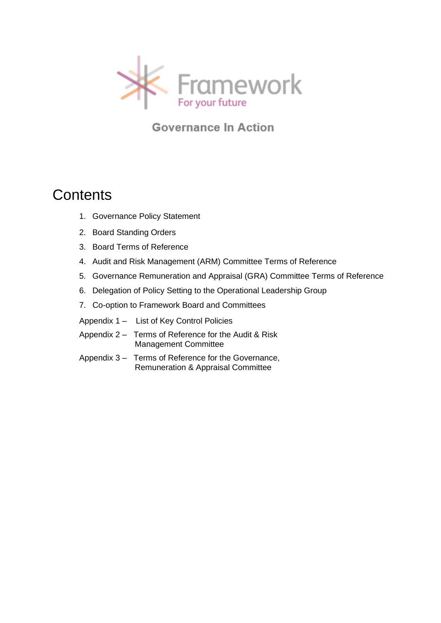

**Governance In Action** 

# **Contents**

- 1. Governance Policy Statement
- 2. Board Standing Orders
- 3. Board Terms of Reference
- 4. Audit and Risk Management (ARM) Committee Terms of Reference
- 5. Governance Remuneration and Appraisal (GRA) Committee Terms of Reference
- 6. Delegation of Policy Setting to the Operational Leadership Group
- 7. Co-option to Framework Board and Committees
- Appendix 1 List of Key Control Policies
- Appendix 2 Terms of Reference for the Audit & Risk Management Committee
- Appendix 3 Terms of Reference for the Governance, Remuneration & Appraisal Committee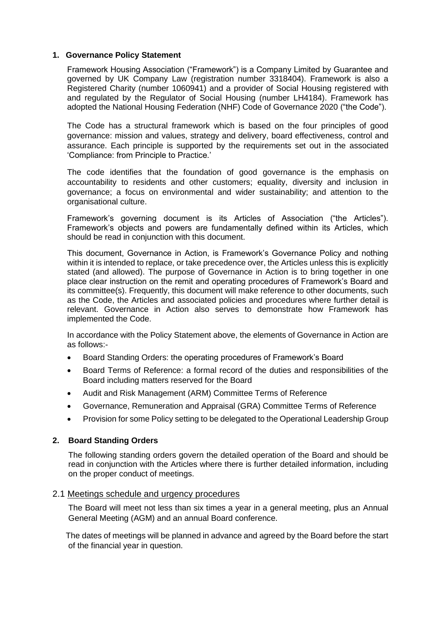# **1. Governance Policy Statement**

Framework Housing Association ("Framework") is a Company Limited by Guarantee and governed by UK Company Law (registration number 3318404). Framework is also a Registered Charity (number 1060941) and a provider of Social Housing registered with and regulated by the Regulator of Social Housing (number LH4184). Framework has adopted the National Housing Federation (NHF) Code of Governance 2020 ("the Code").

The Code has a structural framework which is based on the four principles of good governance: mission and values, strategy and delivery, board effectiveness, control and assurance. Each principle is supported by the requirements set out in the associated 'Compliance: from Principle to Practice.'

The code identifies that the foundation of good governance is the emphasis on accountability to residents and other customers; equality, diversity and inclusion in governance; a focus on environmental and wider sustainability; and attention to the organisational culture.

Framework's governing document is its Articles of Association ("the Articles"). Framework's objects and powers are fundamentally defined within its Articles, which should be read in conjunction with this document.

This document, Governance in Action, is Framework's Governance Policy and nothing within it is intended to replace, or take precedence over, the Articles unless this is explicitly stated (and allowed). The purpose of Governance in Action is to bring together in one place clear instruction on the remit and operating procedures of Framework's Board and its committee(s). Frequently, this document will make reference to other documents, such as the Code, the Articles and associated policies and procedures where further detail is relevant. Governance in Action also serves to demonstrate how Framework has implemented the Code.

In accordance with the Policy Statement above, the elements of Governance in Action are as follows:-

- Board Standing Orders: the operating procedures of Framework's Board
- Board Terms of Reference: a formal record of the duties and responsibilities of the Board including matters reserved for the Board
- Audit and Risk Management (ARM) Committee Terms of Reference
- Governance, Remuneration and Appraisal (GRA) Committee Terms of Reference
- Provision for some Policy setting to be delegated to the Operational Leadership Group

#### **2. Board Standing Orders**

The following standing orders govern the detailed operation of the Board and should be read in conjunction with the Articles where there is further detailed information, including on the proper conduct of meetings.

#### 2.1 Meetings schedule and urgency procedures

The Board will meet not less than six times a year in a general meeting, plus an Annual General Meeting (AGM) and an annual Board conference.

The dates of meetings will be planned in advance and agreed by the Board before the start of the financial year in question.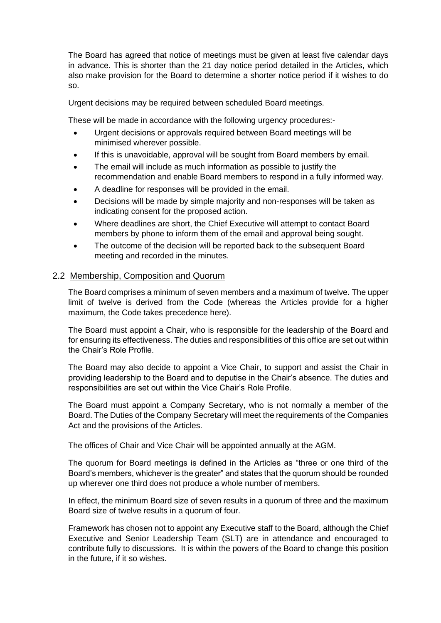The Board has agreed that notice of meetings must be given at least five calendar days in advance. This is shorter than the 21 day notice period detailed in the Articles, which also make provision for the Board to determine a shorter notice period if it wishes to do so.

Urgent decisions may be required between scheduled Board meetings.

These will be made in accordance with the following urgency procedures:-

- Urgent decisions or approvals required between Board meetings will be minimised wherever possible.
- If this is unavoidable, approval will be sought from Board members by email.
- The email will include as much information as possible to justify the recommendation and enable Board members to respond in a fully informed way.
- A deadline for responses will be provided in the email.
- Decisions will be made by simple majority and non-responses will be taken as indicating consent for the proposed action.
- Where deadlines are short, the Chief Executive will attempt to contact Board members by phone to inform them of the email and approval being sought.
- The outcome of the decision will be reported back to the subsequent Board meeting and recorded in the minutes.

# 2.2 Membership, Composition and Quorum

The Board comprises a minimum of seven members and a maximum of twelve. The upper limit of twelve is derived from the Code (whereas the Articles provide for a higher maximum, the Code takes precedence here).

The Board must appoint a Chair, who is responsible for the leadership of the Board and for ensuring its effectiveness. The duties and responsibilities of this office are set out within the Chair's Role Profile.

The Board may also decide to appoint a Vice Chair, to support and assist the Chair in providing leadership to the Board and to deputise in the Chair's absence. The duties and responsibilities are set out within the Vice Chair's Role Profile.

The Board must appoint a Company Secretary, who is not normally a member of the Board. The Duties of the Company Secretary will meet the requirements of the Companies Act and the provisions of the Articles.

The offices of Chair and Vice Chair will be appointed annually at the AGM.

The quorum for Board meetings is defined in the Articles as "three or one third of the Board's members, whichever is the greater" and states that the quorum should be rounded up wherever one third does not produce a whole number of members.

In effect, the minimum Board size of seven results in a quorum of three and the maximum Board size of twelve results in a quorum of four.

Framework has chosen not to appoint any Executive staff to the Board, although the Chief Executive and Senior Leadership Team (SLT) are in attendance and encouraged to contribute fully to discussions. It is within the powers of the Board to change this position in the future, if it so wishes.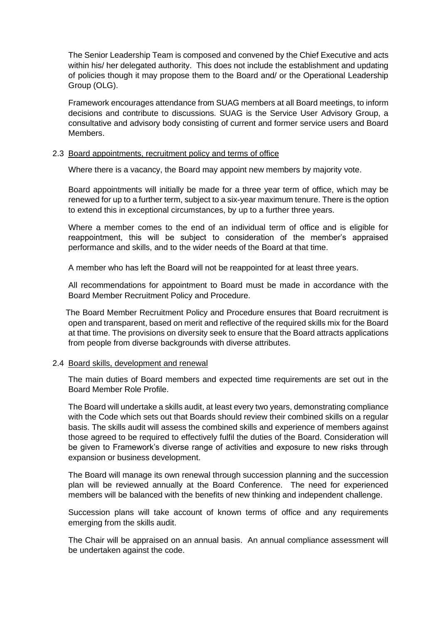The Senior Leadership Team is composed and convened by the Chief Executive and acts within his/ her delegated authority. This does not include the establishment and updating of policies though it may propose them to the Board and/ or the Operational Leadership Group (OLG).

Framework encourages attendance from SUAG members at all Board meetings, to inform decisions and contribute to discussions. SUAG is the Service User Advisory Group, a consultative and advisory body consisting of current and former service users and Board Members.

## 2.3 Board appointments, recruitment policy and terms of office

Where there is a vacancy, the Board may appoint new members by majority vote.

Board appointments will initially be made for a three year term of office, which may be renewed for up to a further term, subject to a six-year maximum tenure. There is the option to extend this in exceptional circumstances, by up to a further three years.

Where a member comes to the end of an individual term of office and is eligible for reappointment, this will be subject to consideration of the member's appraised performance and skills, and to the wider needs of the Board at that time.

A member who has left the Board will not be reappointed for at least three years.

All recommendations for appointment to Board must be made in accordance with the Board Member Recruitment Policy and Procedure.

The Board Member Recruitment Policy and Procedure ensures that Board recruitment is open and transparent, based on merit and reflective of the required skills mix for the Board at that time. The provisions on diversity seek to ensure that the Board attracts applications from people from diverse backgrounds with diverse attributes.

#### 2.4 Board skills, development and renewal

The main duties of Board members and expected time requirements are set out in the Board Member Role Profile.

The Board will undertake a skills audit, at least every two years, demonstrating compliance with the Code which sets out that Boards should review their combined skills on a regular basis. The skills audit will assess the combined skills and experience of members against those agreed to be required to effectively fulfil the duties of the Board. Consideration will be given to Framework's diverse range of activities and exposure to new risks through expansion or business development.

The Board will manage its own renewal through succession planning and the succession plan will be reviewed annually at the Board Conference. The need for experienced members will be balanced with the benefits of new thinking and independent challenge.

Succession plans will take account of known terms of office and any requirements emerging from the skills audit.

The Chair will be appraised on an annual basis. An annual compliance assessment will be undertaken against the code.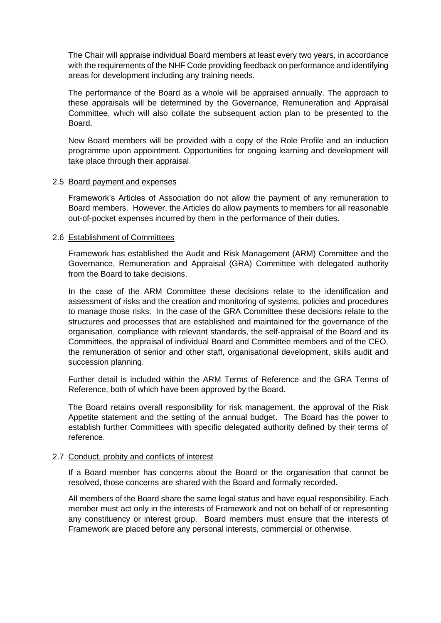The Chair will appraise individual Board members at least every two years, in accordance with the requirements of the NHF Code providing feedback on performance and identifying areas for development including any training needs.

The performance of the Board as a whole will be appraised annually. The approach to these appraisals will be determined by the Governance, Remuneration and Appraisal Committee, which will also collate the subsequent action plan to be presented to the Board.

New Board members will be provided with a copy of the Role Profile and an induction programme upon appointment. Opportunities for ongoing learning and development will take place through their appraisal.

#### 2.5 Board payment and expenses

Framework's Articles of Association do not allow the payment of any remuneration to Board members. However, the Articles do allow payments to members for all reasonable out-of-pocket expenses incurred by them in the performance of their duties.

## 2.6 Establishment of Committees

Framework has established the Audit and Risk Management (ARM) Committee and the Governance, Remuneration and Appraisal (GRA) Committee with delegated authority from the Board to take decisions.

In the case of the ARM Committee these decisions relate to the identification and assessment of risks and the creation and monitoring of systems, policies and procedures to manage those risks. In the case of the GRA Committee these decisions relate to the structures and processes that are established and maintained for the governance of the organisation, compliance with relevant standards, the self-appraisal of the Board and its Committees, the appraisal of individual Board and Committee members and of the CEO, the remuneration of senior and other staff, organisational development, skills audit and succession planning.

Further detail is included within the ARM Terms of Reference and the GRA Terms of Reference, both of which have been approved by the Board.

The Board retains overall responsibility for risk management, the approval of the Risk Appetite statement and the setting of the annual budget. The Board has the power to establish further Committees with specific delegated authority defined by their terms of reference.

# 2.7 Conduct, probity and conflicts of interest

If a Board member has concerns about the Board or the organisation that cannot be resolved, those concerns are shared with the Board and formally recorded.

All members of the Board share the same legal status and have equal responsibility. Each member must act only in the interests of Framework and not on behalf of or representing any constituency or interest group. Board members must ensure that the interests of Framework are placed before any personal interests, commercial or otherwise.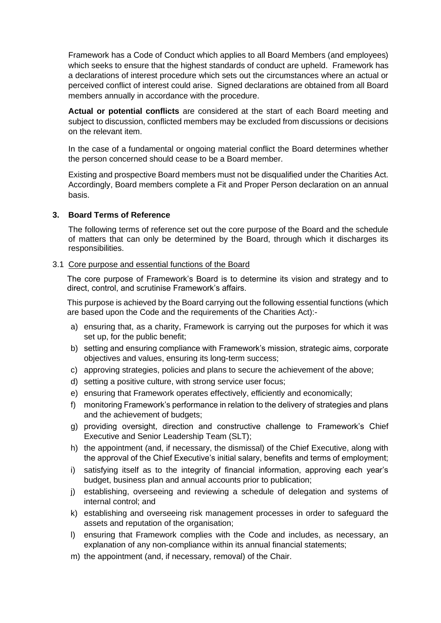Framework has a Code of Conduct which applies to all Board Members (and employees) which seeks to ensure that the highest standards of conduct are upheld. Framework has a declarations of interest procedure which sets out the circumstances where an actual or perceived conflict of interest could arise. Signed declarations are obtained from all Board members annually in accordance with the procedure.

**Actual or potential conflicts** are considered at the start of each Board meeting and subject to discussion, conflicted members may be excluded from discussions or decisions on the relevant item.

In the case of a fundamental or ongoing material conflict the Board determines whether the person concerned should cease to be a Board member.

Existing and prospective Board members must not be disqualified under the Charities Act. Accordingly, Board members complete a Fit and Proper Person declaration on an annual basis.

## **3. Board Terms of Reference**

The following terms of reference set out the core purpose of the Board and the schedule of matters that can only be determined by the Board, through which it discharges its responsibilities.

## 3.1 Core purpose and essential functions of the Board

The core purpose of Framework's Board is to determine its vision and strategy and to direct, control, and scrutinise Framework's affairs.

This purpose is achieved by the Board carrying out the following essential functions (which are based upon the Code and the requirements of the Charities Act):-

- a) ensuring that, as a charity, Framework is carrying out the purposes for which it was set up, for the public benefit;
- b) setting and ensuring compliance with Framework's mission, strategic aims, corporate objectives and values, ensuring its long-term success;
- c) approving strategies, policies and plans to secure the achievement of the above;
- d) setting a positive culture, with strong service user focus;
- e) ensuring that Framework operates effectively, efficiently and economically;
- f) monitoring Framework's performance in relation to the delivery of strategies and plans and the achievement of budgets;
- g) providing oversight, direction and constructive challenge to Framework's Chief Executive and Senior Leadership Team (SLT);
- h) the appointment (and, if necessary, the dismissal) of the Chief Executive, along with the approval of the Chief Executive's initial salary, benefits and terms of employment;
- i) satisfying itself as to the integrity of financial information, approving each year's budget, business plan and annual accounts prior to publication;
- j) establishing, overseeing and reviewing a schedule of delegation and systems of internal control; and
- k) establishing and overseeing risk management processes in order to safeguard the assets and reputation of the organisation;
- l) ensuring that Framework complies with the Code and includes, as necessary, an explanation of any non-compliance within its annual financial statements;
- m) the appointment (and, if necessary, removal) of the Chair.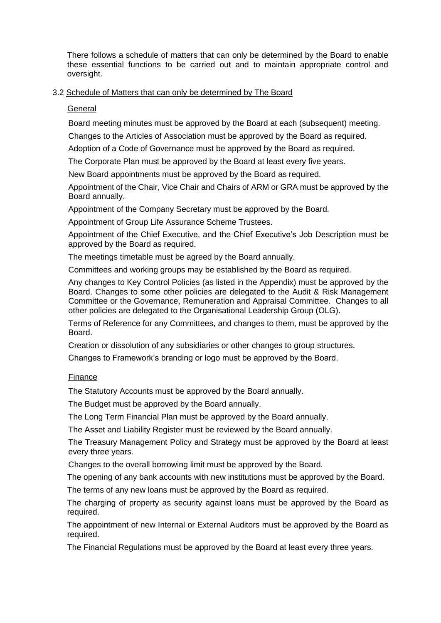There follows a schedule of matters that can only be determined by the Board to enable these essential functions to be carried out and to maintain appropriate control and oversight.

# 3.2 Schedule of Matters that can only be determined by The Board

## **General**

Board meeting minutes must be approved by the Board at each (subsequent) meeting.

Changes to the Articles of Association must be approved by the Board as required.

Adoption of a Code of Governance must be approved by the Board as required.

The Corporate Plan must be approved by the Board at least every five years.

New Board appointments must be approved by the Board as required.

Appointment of the Chair, Vice Chair and Chairs of ARM or GRA must be approved by the Board annually.

Appointment of the Company Secretary must be approved by the Board.

Appointment of Group Life Assurance Scheme Trustees.

Appointment of the Chief Executive, and the Chief Executive's Job Description must be approved by the Board as required.

The meetings timetable must be agreed by the Board annually.

Committees and working groups may be established by the Board as required.

Any changes to Key Control Policies (as listed in the Appendix) must be approved by the Board. Changes to some other policies are delegated to the Audit & Risk Management Committee or the Governance, Remuneration and Appraisal Committee. Changes to all other policies are delegated to the Organisational Leadership Group (OLG).

Terms of Reference for any Committees, and changes to them, must be approved by the Board.

Creation or dissolution of any subsidiaries or other changes to group structures.

Changes to Framework's branding or logo must be approved by the Board.

# Finance

The Statutory Accounts must be approved by the Board annually.

The Budget must be approved by the Board annually.

The Long Term Financial Plan must be approved by the Board annually.

The Asset and Liability Register must be reviewed by the Board annually.

The Treasury Management Policy and Strategy must be approved by the Board at least every three years.

Changes to the overall borrowing limit must be approved by the Board.

The opening of any bank accounts with new institutions must be approved by the Board.

The terms of any new loans must be approved by the Board as required.

The charging of property as security against loans must be approved by the Board as required.

The appointment of new Internal or External Auditors must be approved by the Board as required.

The Financial Regulations must be approved by the Board at least every three years.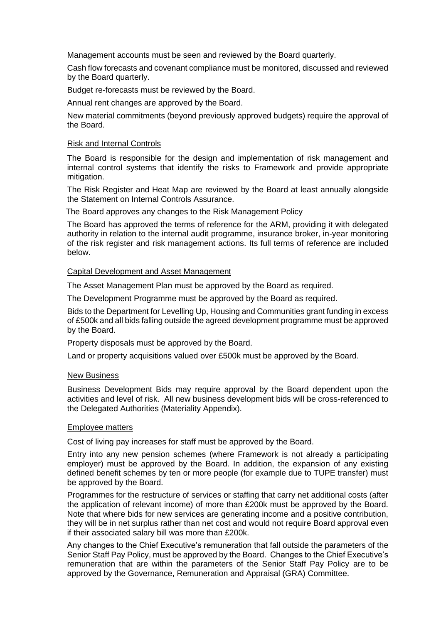Management accounts must be seen and reviewed by the Board quarterly.

Cash flow forecasts and covenant compliance must be monitored, discussed and reviewed by the Board quarterly.

Budget re-forecasts must be reviewed by the Board.

Annual rent changes are approved by the Board.

New material commitments (beyond previously approved budgets) require the approval of the Board.

## Risk and Internal Controls

The Board is responsible for the design and implementation of risk management and internal control systems that identify the risks to Framework and provide appropriate mitigation.

The Risk Register and Heat Map are reviewed by the Board at least annually alongside the Statement on Internal Controls Assurance.

The Board approves any changes to the Risk Management Policy

The Board has approved the terms of reference for the ARM, providing it with delegated authority in relation to the internal audit programme, insurance broker, in-year monitoring of the risk register and risk management actions. Its full terms of reference are included below.

## Capital Development and Asset Management

The Asset Management Plan must be approved by the Board as required.

The Development Programme must be approved by the Board as required.

Bids to the Department for Levelling Up, Housing and Communities grant funding in excess of £500k and all bids falling outside the agreed development programme must be approved by the Board.

Property disposals must be approved by the Board.

Land or property acquisitions valued over £500k must be approved by the Board.

#### New Business

Business Development Bids may require approval by the Board dependent upon the activities and level of risk. All new business development bids will be cross-referenced to the Delegated Authorities (Materiality Appendix).

#### Employee matters

Cost of living pay increases for staff must be approved by the Board.

Entry into any new pension schemes (where Framework is not already a participating employer) must be approved by the Board. In addition, the expansion of any existing defined benefit schemes by ten or more people (for example due to TUPE transfer) must be approved by the Board.

Programmes for the restructure of services or staffing that carry net additional costs (after the application of relevant income) of more than £200k must be approved by the Board. Note that where bids for new services are generating income and a positive contribution, they will be in net surplus rather than net cost and would not require Board approval even if their associated salary bill was more than £200k.

Any changes to the Chief Executive's remuneration that fall outside the parameters of the Senior Staff Pay Policy, must be approved by the Board. Changes to the Chief Executive's remuneration that are within the parameters of the Senior Staff Pay Policy are to be approved by the Governance, Remuneration and Appraisal (GRA) Committee.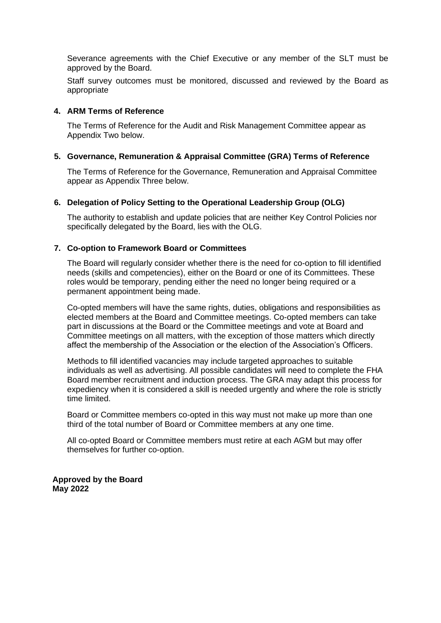Severance agreements with the Chief Executive or any member of the SLT must be approved by the Board.

Staff survey outcomes must be monitored, discussed and reviewed by the Board as appropriate

## **4. ARM Terms of Reference**

The Terms of Reference for the Audit and Risk Management Committee appear as Appendix Two below.

## **5. Governance, Remuneration & Appraisal Committee (GRA) Terms of Reference**

The Terms of Reference for the Governance, Remuneration and Appraisal Committee appear as Appendix Three below.

## **6. Delegation of Policy Setting to the Operational Leadership Group (OLG)**

The authority to establish and update policies that are neither Key Control Policies nor specifically delegated by the Board, lies with the OLG.

## **7. Co-option to Framework Board or Committees**

The Board will regularly consider whether there is the need for co-option to fill identified needs (skills and competencies), either on the Board or one of its Committees. These roles would be temporary, pending either the need no longer being required or a permanent appointment being made.

Co-opted members will have the same rights, duties, obligations and responsibilities as elected members at the Board and Committee meetings. Co-opted members can take part in discussions at the Board or the Committee meetings and vote at Board and Committee meetings on all matters, with the exception of those matters which directly affect the membership of the Association or the election of the Association's Officers.

Methods to fill identified vacancies may include targeted approaches to suitable individuals as well as advertising. All possible candidates will need to complete the FHA Board member recruitment and induction process. The GRA may adapt this process for expediency when it is considered a skill is needed urgently and where the role is strictly time limited.

Board or Committee members co-opted in this way must not make up more than one third of the total number of Board or Committee members at any one time.

All co-opted Board or Committee members must retire at each AGM but may offer themselves for further co-option.

**Approved by the Board May 2022**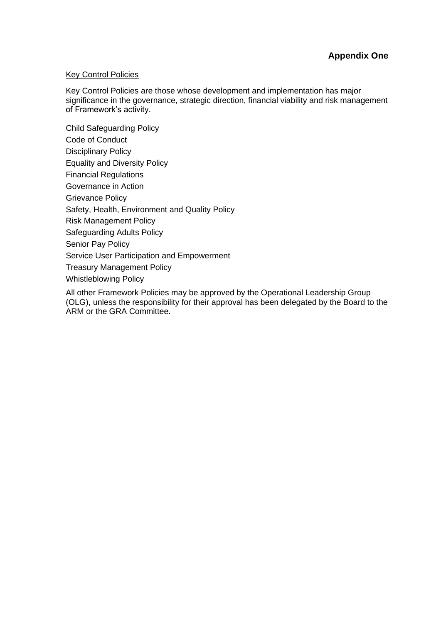# Key Control Policies

Key Control Policies are those whose development and implementation has major significance in the governance, strategic direction, financial viability and risk management of Framework's activity.

Child Safeguarding Policy Code of Conduct Disciplinary Policy Equality and Diversity Policy Financial Regulations Governance in Action Grievance Policy Safety, Health, Environment and Quality Policy Risk Management Policy Safeguarding Adults Policy Senior Pay Policy Service User Participation and Empowerment Treasury Management Policy Whistleblowing Policy

All other Framework Policies may be approved by the Operational Leadership Group (OLG), unless the responsibility for their approval has been delegated by the Board to the ARM or the GRA Committee.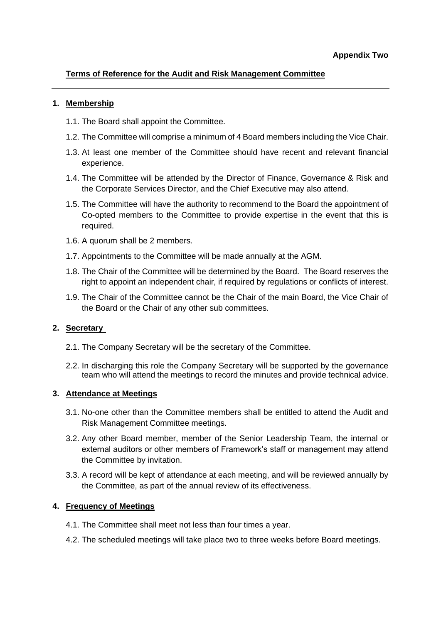# **Terms of Reference for the Audit and Risk Management Committee**

## **1. Membership**

- 1.1. The Board shall appoint the Committee.
- 1.2. The Committee will comprise a minimum of 4 Board members including the Vice Chair.
- 1.3. At least one member of the Committee should have recent and relevant financial experience.
- 1.4. The Committee will be attended by the Director of Finance, Governance & Risk and the Corporate Services Director, and the Chief Executive may also attend.
- 1.5. The Committee will have the authority to recommend to the Board the appointment of Co-opted members to the Committee to provide expertise in the event that this is required.
- 1.6. A quorum shall be 2 members.
- 1.7. Appointments to the Committee will be made annually at the AGM.
- 1.8. The Chair of the Committee will be determined by the Board. The Board reserves the right to appoint an independent chair, if required by regulations or conflicts of interest.
- 1.9. The Chair of the Committee cannot be the Chair of the main Board, the Vice Chair of the Board or the Chair of any other sub committees.

# **2. Secretary**

- 2.1. The Company Secretary will be the secretary of the Committee.
- 2.2. In discharging this role the Company Secretary will be supported by the governance team who will attend the meetings to record the minutes and provide technical advice.

# **3. Attendance at Meetings**

- 3.1. No-one other than the Committee members shall be entitled to attend the Audit and Risk Management Committee meetings.
- 3.2. Any other Board member, member of the Senior Leadership Team, the internal or external auditors or other members of Framework's staff or management may attend the Committee by invitation.
- 3.3. A record will be kept of attendance at each meeting, and will be reviewed annually by the Committee, as part of the annual review of its effectiveness.

# **4. Frequency of Meetings**

- 4.1. The Committee shall meet not less than four times a year.
- 4.2. The scheduled meetings will take place two to three weeks before Board meetings.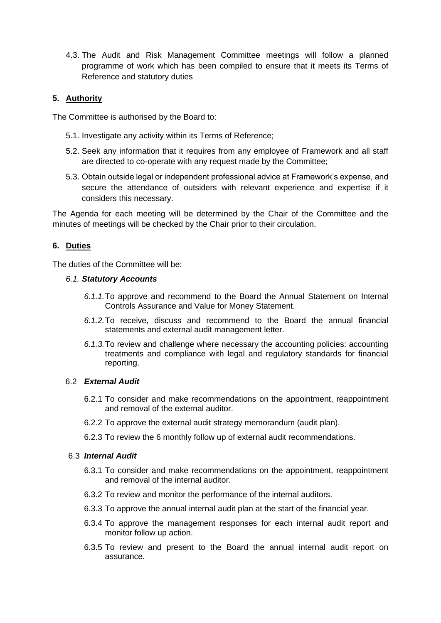4.3. The Audit and Risk Management Committee meetings will follow a planned programme of work which has been compiled to ensure that it meets its Terms of Reference and statutory duties

# **5. Authority**

The Committee is authorised by the Board to:

- 5.1. Investigate any activity within its Terms of Reference;
- 5.2. Seek any information that it requires from any employee of Framework and all staff are directed to co-operate with any request made by the Committee;
- 5.3. Obtain outside legal or independent professional advice at Framework's expense, and secure the attendance of outsiders with relevant experience and expertise if it considers this necessary.

The Agenda for each meeting will be determined by the Chair of the Committee and the minutes of meetings will be checked by the Chair prior to their circulation.

# **6. Duties**

The duties of the Committee will be:

## *6.1. Statutory Accounts*

- *6.1.1.*To approve and recommend to the Board the Annual Statement on Internal Controls Assurance and Value for Money Statement.
- *6.1.2.*To receive, discuss and recommend to the Board the annual financial statements and external audit management letter.
- *6.1.3.*To review and challenge where necessary the accounting policies: accounting treatments and compliance with legal and regulatory standards for financial reporting.

# 6.2 *External Audit*

- 6.2.1 To consider and make recommendations on the appointment, reappointment and removal of the external auditor.
- 6.2.2 To approve the external audit strategy memorandum (audit plan).
- 6.2.3 To review the 6 monthly follow up of external audit recommendations.

# 6.3 *Internal Audit*

- 6.3.1 To consider and make recommendations on the appointment, reappointment and removal of the internal auditor.
- 6.3.2 To review and monitor the performance of the internal auditors.
- 6.3.3 To approve the annual internal audit plan at the start of the financial year.
- 6.3.4 To approve the management responses for each internal audit report and monitor follow up action.
- 6.3.5 To review and present to the Board the annual internal audit report on assurance.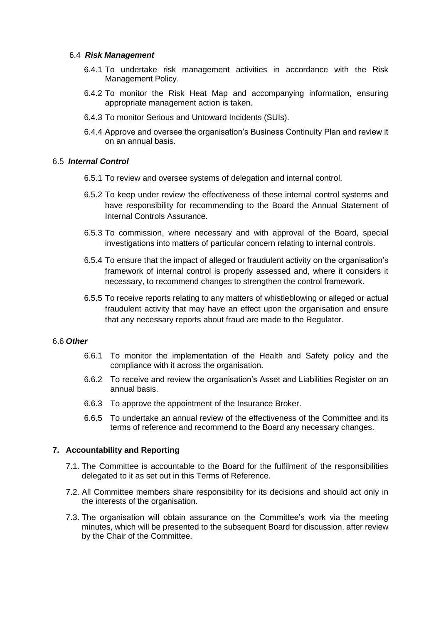## 6.4 *Risk Management*

- 6.4.1 To undertake risk management activities in accordance with the Risk Management Policy.
- 6.4.2 To monitor the Risk Heat Map and accompanying information, ensuring appropriate management action is taken.
- 6.4.3 To monitor Serious and Untoward Incidents (SUIs).
- 6.4.4 Approve and oversee the organisation's Business Continuity Plan and review it on an annual basis.

## 6.5 *Internal Control*

- 6.5.1 To review and oversee systems of delegation and internal control.
- 6.5.2 To keep under review the effectiveness of these internal control systems and have responsibility for recommending to the Board the Annual Statement of Internal Controls Assurance.
- 6.5.3 To commission, where necessary and with approval of the Board, special investigations into matters of particular concern relating to internal controls.
- 6.5.4 To ensure that the impact of alleged or fraudulent activity on the organisation's framework of internal control is properly assessed and, where it considers it necessary, to recommend changes to strengthen the control framework.
- 6.5.5 To receive reports relating to any matters of whistleblowing or alleged or actual fraudulent activity that may have an effect upon the organisation and ensure that any necessary reports about fraud are made to the Regulator.

#### 6.6 *Other*

- 6.6.1 To monitor the implementation of the Health and Safety policy and the compliance with it across the organisation.
- 6.6.2 To receive and review the organisation's Asset and Liabilities Register on an annual basis.
- 6.6.3 To approve the appointment of the Insurance Broker.
- 6.6.5 To undertake an annual review of the effectiveness of the Committee and its terms of reference and recommend to the Board any necessary changes.

# **7. Accountability and Reporting**

- 7.1. The Committee is accountable to the Board for the fulfilment of the responsibilities delegated to it as set out in this Terms of Reference.
- 7.2. All Committee members share responsibility for its decisions and should act only in the interests of the organisation.
- 7.3. The organisation will obtain assurance on the Committee's work via the meeting minutes, which will be presented to the subsequent Board for discussion, after review by the Chair of the Committee.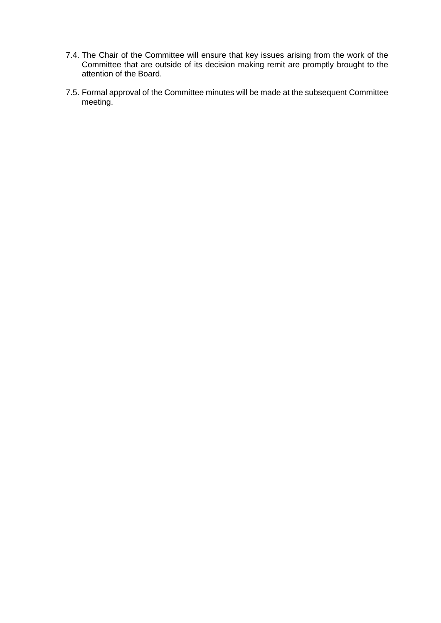- 7.4. The Chair of the Committee will ensure that key issues arising from the work of the Committee that are outside of its decision making remit are promptly brought to the attention of the Board.
- 7.5. Formal approval of the Committee minutes will be made at the subsequent Committee meeting.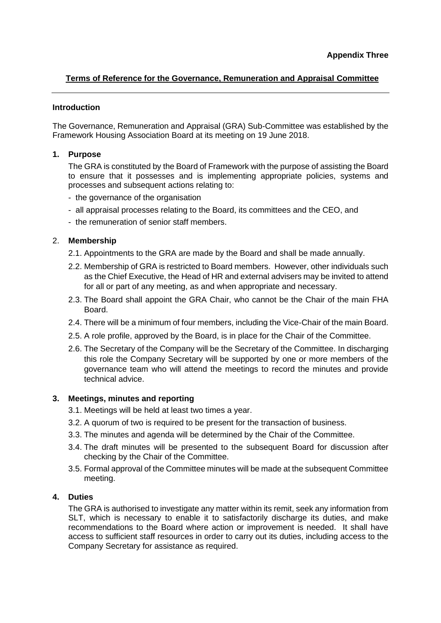# **Terms of Reference for the Governance, Remuneration and Appraisal Committee**

## **Introduction**

The Governance, Remuneration and Appraisal (GRA) Sub-Committee was established by the Framework Housing Association Board at its meeting on 19 June 2018.

# **1. Purpose**

The GRA is constituted by the Board of Framework with the purpose of assisting the Board to ensure that it possesses and is implementing appropriate policies, systems and processes and subsequent actions relating to:

- the governance of the organisation
- all appraisal processes relating to the Board, its committees and the CEO, and
- the remuneration of senior staff members.

## 2. **Membership**

- 2.1. Appointments to the GRA are made by the Board and shall be made annually.
- 2.2. Membership of GRA is restricted to Board members. However, other individuals such as the Chief Executive, the Head of HR and external advisers may be invited to attend for all or part of any meeting, as and when appropriate and necessary.
- 2.3. The Board shall appoint the GRA Chair, who cannot be the Chair of the main FHA Board.
- 2.4. There will be a minimum of four members, including the Vice-Chair of the main Board.
- 2.5. A role profile, approved by the Board, is in place for the Chair of the Committee.
- 2.6. The Secretary of the Company will be the Secretary of the Committee. In discharging this role the Company Secretary will be supported by one or more members of the governance team who will attend the meetings to record the minutes and provide technical advice.

## **3. Meetings, minutes and reporting**

- 3.1. Meetings will be held at least two times a year.
- 3.2. A quorum of two is required to be present for the transaction of business.
- 3.3. The minutes and agenda will be determined by the Chair of the Committee.
- 3.4. The draft minutes will be presented to the subsequent Board for discussion after checking by the Chair of the Committee.
- 3.5. Formal approval of the Committee minutes will be made at the subsequent Committee meeting.

## **4. Duties**

The GRA is authorised to investigate any matter within its remit, seek any information from SLT, which is necessary to enable it to satisfactorily discharge its duties, and make recommendations to the Board where action or improvement is needed. It shall have access to sufficient staff resources in order to carry out its duties, including access to the Company Secretary for assistance as required.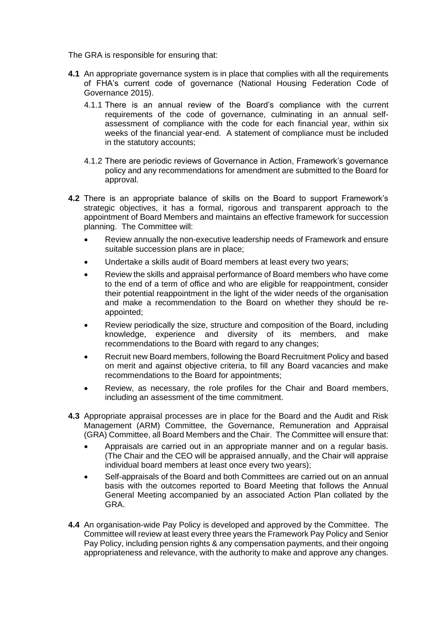The GRA is responsible for ensuring that:

- **4.1** An appropriate governance system is in place that complies with all the requirements of FHA's current code of governance (National Housing Federation Code of Governance 2015).
	- 4.1.1 There is an annual review of the Board's compliance with the current requirements of the code of governance, culminating in an annual selfassessment of compliance with the code for each financial year, within six weeks of the financial year-end. A statement of compliance must be included in the statutory accounts;
	- 4.1.2 There are periodic reviews of Governance in Action, Framework's governance policy and any recommendations for amendment are submitted to the Board for approval.
- **4.2** There is an appropriate balance of skills on the Board to support Framework's strategic objectives, it has a formal, rigorous and transparent approach to the appointment of Board Members and maintains an effective framework for succession planning. The Committee will:
	- Review annually the non-executive leadership needs of Framework and ensure suitable succession plans are in place;
	- Undertake a skills audit of Board members at least every two years;
	- Review the skills and appraisal performance of Board members who have come to the end of a term of office and who are eligible for reappointment, consider their potential reappointment in the light of the wider needs of the organisation and make a recommendation to the Board on whether they should be reappointed;
	- Review periodically the size, structure and composition of the Board, including knowledge, experience and diversity of its members, and make recommendations to the Board with regard to any changes;
	- Recruit new Board members, following the Board Recruitment Policy and based on merit and against objective criteria, to fill any Board vacancies and make recommendations to the Board for appointments;
	- Review, as necessary, the role profiles for the Chair and Board members, including an assessment of the time commitment.
- **4.3** Appropriate appraisal processes are in place for the Board and the Audit and Risk Management (ARM) Committee, the Governance, Remuneration and Appraisal (GRA) Committee, all Board Members and the Chair. The Committee will ensure that:
	- Appraisals are carried out in an appropriate manner and on a regular basis. (The Chair and the CEO will be appraised annually, and the Chair will appraise individual board members at least once every two years);
	- Self-appraisals of the Board and both Committees are carried out on an annual basis with the outcomes reported to Board Meeting that follows the Annual General Meeting accompanied by an associated Action Plan collated by the GRA.
- **4.4** An organisation-wide Pay Policy is developed and approved by the Committee. The Committee will review at least every three years the Framework Pay Policy and Senior Pay Policy, including pension rights & any compensation payments, and their ongoing appropriateness and relevance, with the authority to make and approve any changes.